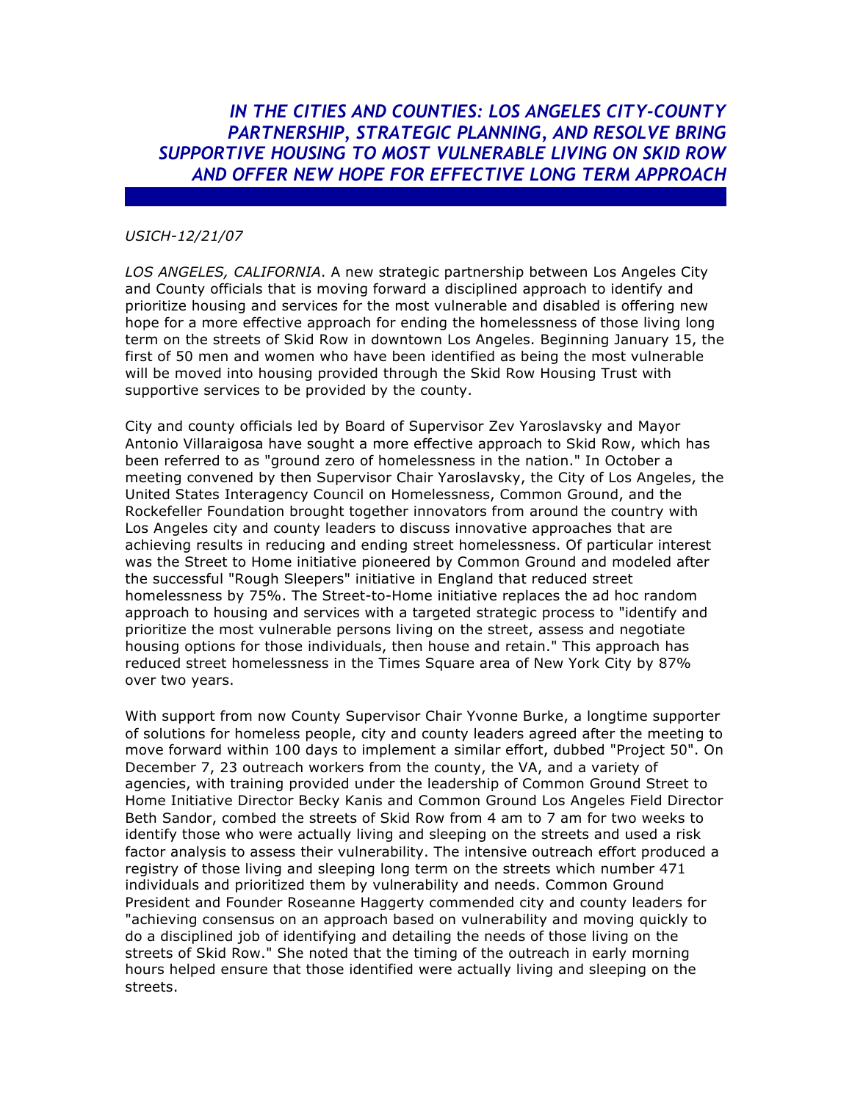*IN THE CITIES AND COUNTIES: LOS ANGELES CITY-COUNTY PARTNERSHIP, STRATEGIC PLANNING, AND RESOLVE BRING SUPPORTIVE HOUSING TO MOST VULNERABLE LIVING ON SKID ROW AND OFFER NEW HOPE FOR EFFECTIVE LONG TERM APPROACH*

## *USICH-12/21/07*

*LOS ANGELES, CALIFORNIA*. A new strategic partnership between Los Angeles City and County officials that is moving forward a disciplined approach to identify and prioritize housing and services for the most vulnerable and disabled is offering new hope for a more effective approach for ending the homelessness of those living long term on the streets of Skid Row in downtown Los Angeles. Beginning January 15, the first of 50 men and women who have been identified as being the most vulnerable will be moved into housing provided through the Skid Row Housing Trust with supportive services to be provided by the county.

City and county officials led by Board of Supervisor Zev Yaroslavsky and Mayor Antonio Villaraigosa have sought a more effective approach to Skid Row, which has been referred to as "ground zero of homelessness in the nation." In October a meeting convened by then Supervisor Chair Yaroslavsky, the City of Los Angeles, the United States Interagency Council on Homelessness, Common Ground, and the Rockefeller Foundation brought together innovators from around the country with Los Angeles city and county leaders to discuss innovative approaches that are achieving results in reducing and ending street homelessness. Of particular interest was the Street to Home initiative pioneered by Common Ground and modeled after the successful "Rough Sleepers" initiative in England that reduced street homelessness by 75%. The Street-to-Home initiative replaces the ad hoc random approach to housing and services with a targeted strategic process to "identify and prioritize the most vulnerable persons living on the street, assess and negotiate housing options for those individuals, then house and retain." This approach has reduced street homelessness in the Times Square area of New York City by 87% over two years.

With support from now County Supervisor Chair Yvonne Burke, a longtime supporter of solutions for homeless people, city and county leaders agreed after the meeting to move forward within 100 days to implement a similar effort, dubbed "Project 50". On December 7, 23 outreach workers from the county, the VA, and a variety of agencies, with training provided under the leadership of Common Ground Street to Home Initiative Director Becky Kanis and Common Ground Los Angeles Field Director Beth Sandor, combed the streets of Skid Row from 4 am to 7 am for two weeks to identify those who were actually living and sleeping on the streets and used a risk factor analysis to assess their vulnerability. The intensive outreach effort produced a registry of those living and sleeping long term on the streets which number 471 individuals and prioritized them by vulnerability and needs. Common Ground President and Founder Roseanne Haggerty commended city and county leaders for "achieving consensus on an approach based on vulnerability and moving quickly to do a disciplined job of identifying and detailing the needs of those living on the streets of Skid Row." She noted that the timing of the outreach in early morning hours helped ensure that those identified were actually living and sleeping on the streets.